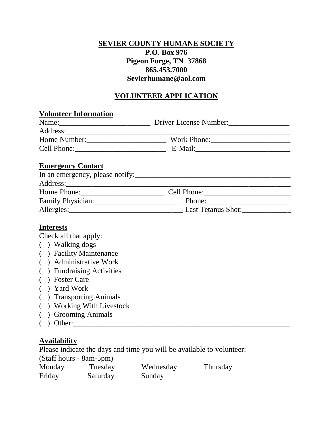## **SEVIER COUNTY HUMANE SOCIETY P.O. Box 976 Pigeon Forge, TN 37868 865.453.7000 Sevierhumane@aol.com**

## **VOLUNTEER APPLICATION**

# **Volunteer Information** Name:
Mame:
Mame  $\frac{1}{\sqrt{1-\frac{1}{2}}\sqrt{1-\frac{1}{2}}\sqrt{1-\frac{1}{2}}\sqrt{1-\frac{1}{2}}\sqrt{1-\frac{1}{2}}\sqrt{1-\frac{1}{2}}\sqrt{1-\frac{1}{2}}\sqrt{1-\frac{1}{2}}\sqrt{1-\frac{1}{2}}\sqrt{1-\frac{1}{2}}\sqrt{1-\frac{1}{2}}\sqrt{1-\frac{1}{2}}\sqrt{1-\frac{1}{2}}\sqrt{1-\frac{1}{2}}\sqrt{1-\frac{1}{2}}\sqrt{1-\frac{1}{2}}\sqrt{1-\frac{1}{2}}\sqrt{1-\frac{1}{2}}\$ Address:\_\_\_\_\_\_\_\_\_\_\_\_\_\_\_\_\_\_\_\_\_\_\_\_\_\_\_\_\_\_\_\_\_\_\_\_\_\_\_\_\_\_\_\_\_\_\_\_\_\_\_\_\_\_\_\_\_\_\_ Home Number:\_\_\_\_\_\_\_\_\_\_\_\_\_\_\_\_\_\_\_\_\_ Work Phone:\_\_\_\_\_\_\_\_\_\_\_\_\_\_\_\_\_\_\_\_\_ Cell Phone:\_\_\_\_\_\_\_\_\_\_\_\_\_\_\_\_\_\_\_\_\_\_\_\_ E-Mail:\_\_\_\_\_\_\_\_\_\_\_\_\_\_\_\_\_\_\_\_\_\_\_\_\_ **Emergency Contact** In an emergency, please notify:\_\_\_\_\_\_\_\_\_\_\_\_\_\_\_\_\_\_\_\_\_\_\_\_\_\_\_\_\_\_\_\_\_\_\_\_\_\_\_\_\_ Address:\_\_\_\_\_\_\_\_\_\_\_\_\_\_\_\_\_\_\_\_\_\_\_\_\_\_\_\_\_\_\_\_\_\_\_\_\_\_\_\_\_\_\_\_\_\_\_\_\_\_\_\_\_\_\_\_\_\_\_

| Home Phone:       | Cell Phone:        |
|-------------------|--------------------|
| Family Physician: | Phone:             |
| Allergies:        | Last Tetanus Shot: |

#### **Interests**

Check all that apply:

- ( ) Walking dogs
- ( ) Facility Maintenance
- ( ) Administrative Work
- ( ) Fundraising Activities
- ( ) Foster Care
- ( ) Yard Work
- ( ) Transporting Animals
- ( ) Working With Livestock
- ( ) Grooming Animals
- ( ) Other:\_\_\_\_\_\_\_\_\_\_\_\_\_\_\_\_\_\_\_\_\_\_\_\_\_\_\_\_\_\_\_\_\_\_\_\_\_\_\_\_\_\_\_\_\_\_\_\_\_\_\_\_\_\_\_\_\_

## **Availability**

Please indicate the days and time you will be available to volunteer:

(Staff hours - 8am-5pm)

Monday Tuesday Wednesday Thursday

Friday\_\_\_\_\_\_\_\_ Saturday \_\_\_\_\_\_\_ Sunday\_\_\_\_\_\_\_